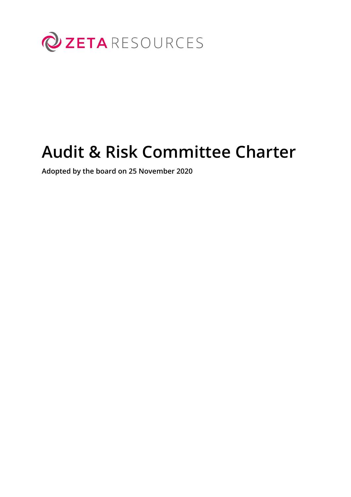

# **Audit & Risk Committee Charter**

**Adopted by the board on 25 November 2020**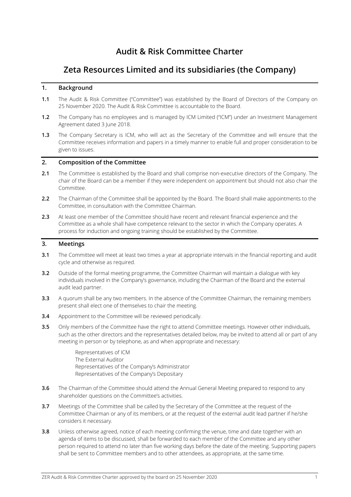# **Audit & Risk Committee Charter**

# **Zeta Resources Limited and its subsidiaries (the Company)**

# **1. Background**

- **1.1** The Audit & Risk Committee ("Committee") was established by the Board of Directors of the Company on 25 November 2020. The Audit & Risk Committee is accountable to the Board.
- **1.2** The Company has no employees and is managed by ICM Limited ("ICM") under an Investment Management Agreement dated 3 June 2018.
- **1.3** The Company Secretary is ICM, who will act as the Secretary of the Committee and will ensure that the Committee receives information and papers in a timely manner to enable full and proper consideration to be given to issues.

# **2. Composition of the Committee**

- **2.1** The Committee is established by the Board and shall comprise non-executive directors of the Company. The chair of the Board can be a member if they were independent on appointment but should not also chair the Committee.
- **2.2** The Chairman of the Committee shall be appointed by the Board. The Board shall make appointments to the Committee, in consultation with the Committee Chairman.
- **2.3** At least one member of the Committee should have recent and relevant financial experience and the Committee as a whole shall have competence relevant to the sector in which the Company operates. A process for induction and ongoing training should be established by the Committee.

# **3. Meetings**

- **3.1** The Committee will meet at least two times a year at appropriate intervals in the financial reporting and audit cycle and otherwise as required.
- **3.2** Outside of the formal meeting programme, the Committee Chairman will maintain a dialogue with key individuals involved in the Company's governance, including the Chairman of the Board and the external audit lead partner.
- **3.3** A quorum shall be any two members. In the absence of the Committee Chairman, the remaining members present shall elect one of themselves to chair the meeting.
- **3.4** Appointment to the Committee will be reviewed periodically.
- **3.5** Only members of the Committee have the right to attend Committee meetings. However other individuals, such as the other directors and the representatives detailed below, may be invited to attend all or part of any meeting in person or by telephone, as and when appropriate and necessary:

Representatives of ICM The External Auditor Representatives of the Company's Administrator Representatives of the Company's Depositary

- **3.6** The Chairman of the Committee should attend the Annual General Meeting prepared to respond to any shareholder questions on the Committee's activities.
- **3.7** Meetings of the Committee shall be called by the Secretary of the Committee at the request of the Committee Chairman or any of its members, or at the request of the external audit lead partner if he/she considers it necessary.
- **3.8** Unless otherwise agreed, notice of each meeting confirming the venue, time and date together with an agenda of items to be discussed, shall be forwarded to each member of the Committee and any other person required to attend no later than five working days before the date of the meeting. Supporting papers shall be sent to Committee members and to other attendees, as appropriate, at the same time.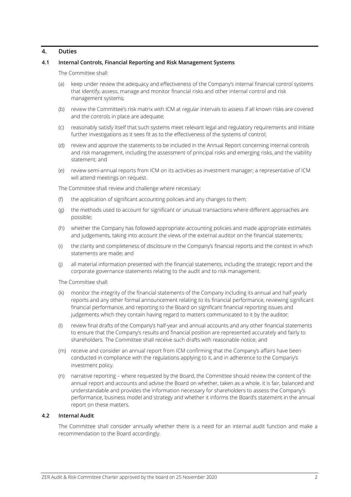#### **4. Duties**

# **4.1 Internal Controls, Financial Reporting and Risk Management Systems**

The Committee shall:

- (a) keep under review the adequacy and effectiveness of the Company's internal financial control systems that identify, assess, manage and monitor financial risks and other internal control and risk management systems;
- (b) review the Committee's risk matrix with ICM at regular intervals to assess if all known risks are covered and the controls in place are adequate;
- (c) reasonably satisfy itself that such systems meet relevant legal and regulatory requirements and initiate further investigations as it sees fit as to the effectiveness of the systems of control;
- (d) review and approve the statements to be included in the Annual Report concerning internal controls and risk management, including the assessment of principal risks and emerging risks, and the viability statement; and
- (e) review semi-annual reports from ICM on its activities as investment manager; a representative of ICM will attend meetings on request.

The Committee shall review and challenge where necessary:

- (f) the application of significant accounting policies and any changes to them;
- (g) the methods used to account for significant or unusual transactions where different approaches are possible;
- (h) whether the Company has followed appropriate accounting policies and made appropriate estimates and judgements, taking into account the views of the external auditor on the financial statements;
- (i) the clarity and completeness of disclosure in the Company's financial reports and the context in which statements are made; and
- (j) all material information presented with the financial statements, including the strategic report and the corporate governance statements relating to the audit and to risk management.

The Committee shall:

- (k) monitor the integrity of the financial statements of the Company including its annual and half yearly reports and any other formal announcement relating to its financial performance, reviewing significant financial performance, and reporting to the Board on significant financial reporting issues and judgements which they contain having regard to matters communicated to it by the auditor;
- (l) review final drafts of the Company's half-year and annual accounts and any other financial statements to ensure that the Company's results and financial position are represented accurately and fairly to shareholders. The Committee shall receive such drafts with reasonable notice; and
- (m) receive and consider an annual report from ICM confirming that the Company's affairs have been conducted in compliance with the regulations applying to it, and in adherence to the Company's investment policy.
- (n) narrative reporting where requested by the Board, the Committee should review the content of the annual report and accounts and advise the Board on whether, taken as a whole, it is fair, balanced and understandable and provides the information necessary for shareholders to assess the Company's performance, business model and strategy and whether it informs the Board's statement in the annual report on these matters.

#### **4.2 Internal Audit**

The Committee shall consider annually whether there is a need for an internal audit function and make a recommendation to the Board accordingly.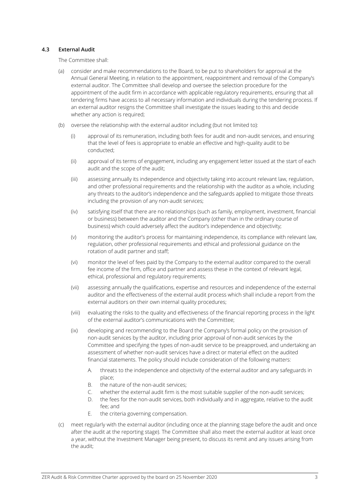#### **4.3 External Audit**

The Committee shall:

- (a) consider and make recommendations to the Board, to be put to shareholders for approval at the Annual General Meeting, in relation to the appointment, reappointment and removal of the Company's external auditor. The Committee shall develop and oversee the selection procedure for the appointment of the audit firm in accordance with applicable regulatory requirements, ensuring that all tendering firms have access to all necessary information and individuals during the tendering process. If an external auditor resigns the Committee shall investigate the issues leading to this and decide whether any action is required;
- (b) oversee the relationship with the external auditor including (but not limited to):
	- (i) approval of its remuneration, including both fees for audit and non-audit services, and ensuring that the level of fees is appropriate to enable an effective and high-quality audit to be conducted;
	- (ii) approval of its terms of engagement, including any engagement letter issued at the start of each audit and the scope of the audit;
	- (iii) assessing annually its independence and objectivity taking into account relevant law, regulation, and other professional requirements and the relationship with the auditor as a whole, including any threats to the auditor's independence and the safeguards applied to mitigate those threats including the provision of any non-audit services;
	- (iv) satisfying itself that there are no relationships (such as family, employment, investment, financial or business) between the auditor and the Company (other than in the ordinary course of business) which could adversely affect the auditor's independence and objectivity;
	- (v) monitoring the auditor's process for maintaining independence, its compliance with relevant law, regulation, other professional requirements and ethical and professional guidance on the rotation of audit partner and staff;
	- (vi) monitor the level of fees paid by the Company to the external auditor compared to the overall fee income of the firm, office and partner and assess these in the context of relevant legal, ethical, professional and regulatory requirements;
	- (vii) assessing annually the qualifications, expertise and resources and independence of the external auditor and the effectiveness of the external audit process which shall include a report from the external auditors on their own internal quality procedures;
	- (viii) evaluating the risks to the quality and effectiveness of the financial reporting process in the light of the external auditor's communications with the Committee;
	- (ix) developing and recommending to the Board the Company's formal policy on the provision of non-audit services by the auditor, including prior approval of non-audit services by the Committee and specifying the types of non-audit service to be preapproved, and undertaking an assessment of whether non-audit services have a direct or material effect on the audited financial statements. The policy should include consideration of the following matters:
		- A. threats to the independence and objectivity of the external auditor and any safeguards in place;
		- B. the nature of the non-audit services;
		- C. whether the external audit firm is the most suitable supplier of the non-audit services;
		- D. the fees for the non-audit services, both individually and in aggregate, relative to the audit fee; and
		- E. the criteria governing compensation.
- (c) meet regularly with the external auditor (including once at the planning stage before the audit and once after the audit at the reporting stage). The Committee shall also meet the external auditor at least once a year, without the Investment Manager being present, to discuss its remit and any issues arising from the audit;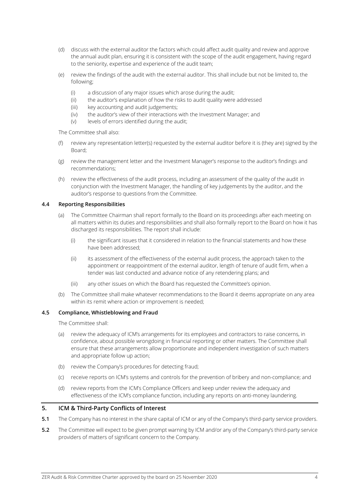- (d) discuss with the external auditor the factors which could affect audit quality and review and approve the annual audit plan, ensuring it is consistent with the scope of the audit engagement, having regard to the seniority, expertise and experience of the audit team;
- (e) review the findings of the audit with the external auditor. This shall include but not be limited to, the following;
	- (i) a discussion of any major issues which arose during the audit;
	- (ii) the auditor's explanation of how the risks to audit quality were addressed
	- (iii) key accounting and audit judgements;
	- (iv) the auditor's view of their interactions with the Investment Manager; and
	- (v) levels of errors identified during the audit;

The Committee shall also:

- (f) review any representation letter(s) requested by the external auditor before it is (they are) signed by the Board;
- (g) review the management letter and the Investment Manager's response to the auditor's findings and recommendations;
- (h) review the effectiveness of the audit process, including an assessment of the quality of the audit in conjunction with the Investment Manager, the handling of key judgements by the auditor, and the auditor's response to questions from the Committee.

#### **4.4 Reporting Responsibilities**

- (a) The Committee Chairman shall report formally to the Board on its proceedings after each meeting on all matters within its duties and responsibilities and shall also formally report to the Board on how it has discharged its responsibilities. The report shall include:
	- (i) the significant issues that it considered in relation to the financial statements and how these have been addressed;
	- (ii) its assessment of the effectiveness of the external audit process, the approach taken to the appointment or reappointment of the external auditor, length of tenure of audit firm, when a tender was last conducted and advance notice of any retendering plans; and
	- (iii) any other issues on which the Board has requested the Committee's opinion.
- (b) The Committee shall make whatever recommendations to the Board it deems appropriate on any area within its remit where action or improvement is needed:

# **4.5 Compliance, Whistleblowing and Fraud**

The Committee shall:

- (a) review the adequacy of ICM's arrangements for its employees and contractors to raise concerns, in confidence, about possible wrongdoing in financial reporting or other matters. The Committee shall ensure that these arrangements allow proportionate and independent investigation of such matters and appropriate follow up action;
- (b) review the Company's procedures for detecting fraud;
- (c) receive reports on ICM's systems and controls for the prevention of bribery and non-compliance; and
- (d) review reports from the ICM's Compliance Officers and keep under review the adequacy and effectiveness of the ICM's compliance function, including any reports on anti-money laundering.

# **5. ICM & Third-Party Conflicts of Interest**

- **5.1** The Company has no interest in the share capital of ICM or any of the Company's third-party service providers.
- **5.2** The Committee will expect to be given prompt warning by ICM and/or any of the Company's third-party service providers of matters of significant concern to the Company.